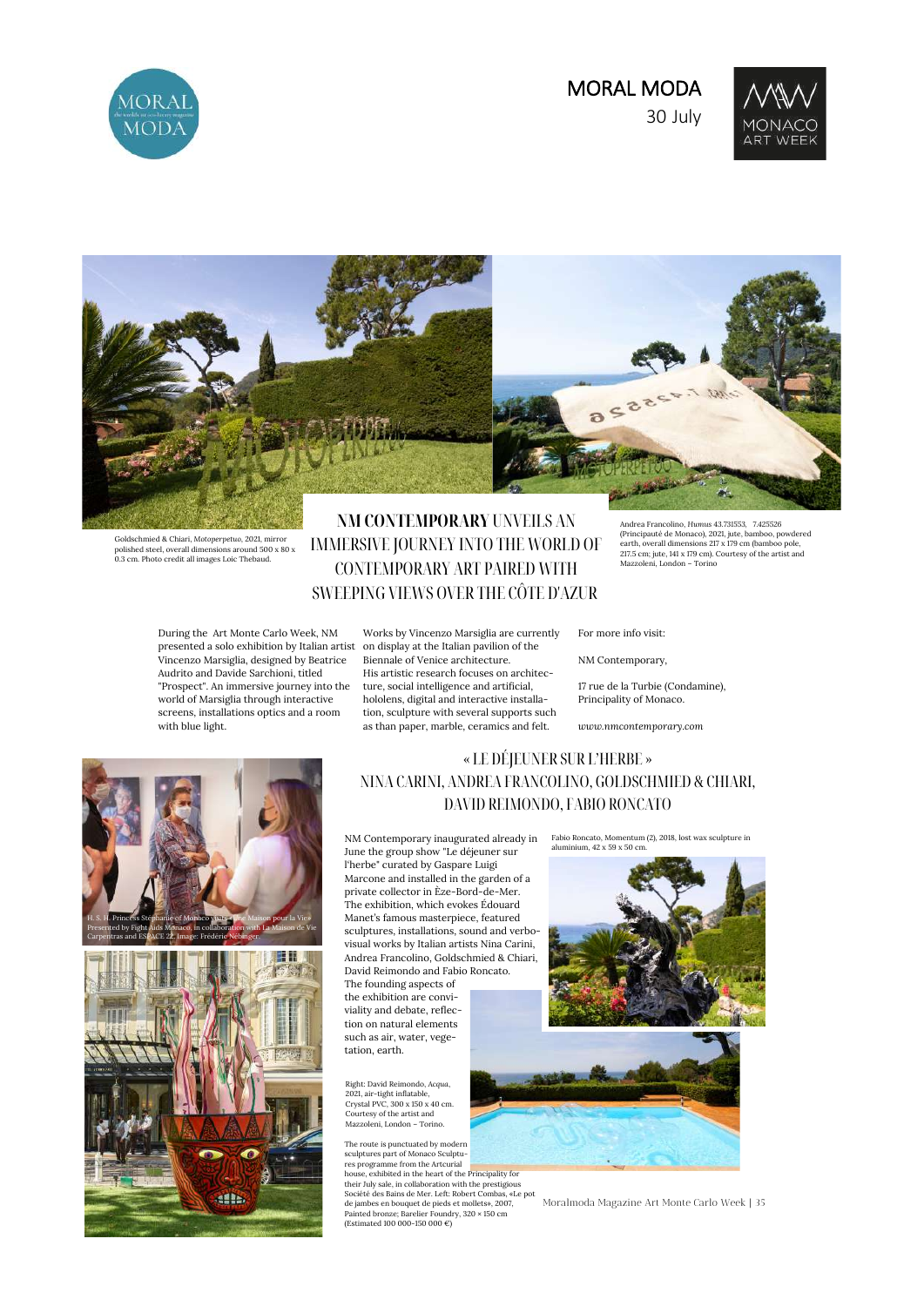





IMMERSIVE JOURNEY INTO THE WORLD OF

Goldschmied & Chiari, *Motoperpetuo*, 2021, mirror polished steel, overall dimensions around 500 x 80 x 0.3 cm. Photo credit all images Loic Thebaud.

with blue light.

Audrito and Davide Sarchioni, titled

## During the Art Monte Carlo Week, NM CONTEMPORARY ART PAIRED WITH SWEEPING VIEWS OVER THE CÔTE D'AZUR Works by Vincenzo Marsiglia are currently

presented a solo exhibition by Italian artist on display at the Italian pavilion of the Vincenzo Marsiglia, designed by Beatrice "Prospect". An immersive journey into the world of Marsiglia through interactive screens, installations optics and a room Biennale of Venice architecture. His artistic research focuses on architecture, social intelligence and artificial, hololens, digital and interactive installation, sculpture with several supports such as than paper, marble, ceramics and felt.

(Principauté de Monaco), 2021, jute, bamboo, powdered earth, overall dimensions 217 x 179 cm (bamboo pole, 217.5 cm; jute, 141 x 179 cm). Courtesy of the artist and Mazzoleni, London – Torino

For more info visit:

NM Contemporary,

17 rue de la Turbie (Condamine), Principality of Monaco.

*www.nmcontemporary.com*



## « LE DÉJEUNER SUR L'HERBE » NINA CARINI, ANDREA FRANCOLINO, GOLDSCHMIED & CHIARI, DAVID REIMONDO, FABIO RONCATO

NM Contemporary inaugurated already in June the group show "Le déjeuner sur l'herbe" curated by Gaspare Luigi Marcone and installed in the garden of a private collector in Èze-Bord-de-Mer. The exhibition, which evokes Édouard Manet's famous masterpiece, featured sculptures, installations, sound and verbovisual works by Italian artists Nina Carini, Andrea Francolino, Goldschmied & Chiari, David Reimondo and Fabio Roncato. The founding aspects of the exhibition are conviviality and debate, reflection on natural elements such as air, water, vege-

Right: David Reimondo, *Acqua*, 2021, air-tight inflatable, Crystal PVC, 300 x 150 x 40 cm. Courtesy of the artist and Mazzoleni, London – Torino.

tation, earth.

The route is punctuated by modern sculptures part of Monaco Sculptu-res programme from the Artcurial house, exhibited in the heart of the Principality for their July sale, in collaboration with the prestigious Société des Bains de Mer. Left: Robert Combas, «Le pot de jambes en bouquet de pieds et mollets», 2007, Painted bronze; Barelier Foundry, 320 × 150 cm (Estimated 100 000-150 000 €)





Moralmoda Magazine Art Monte Carlo Week | 35